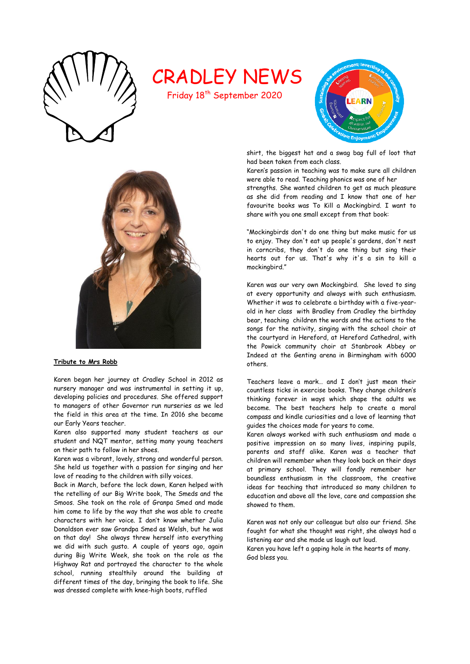

# CRADLEY NEWS

Friday 18<sup>th</sup> September 2020





## **Tribute to Mrs Robb**

Karen began her journey at Cradley School in 2012 as nursery manager and was instrumental in setting it up, developing policies and procedures. She offered support to managers of other Governor run nurseries as we led the field in this area at the time. In 2016 she became our Early Years teacher.

Karen also supported many student teachers as our student and NQT mentor, setting many young teachers on their path to follow in her shoes.

Karen was a vibrant, lovely, strong and wonderful person. She held us together with a passion for singing and her love of reading to the children with silly voices.

Back in March, before the lock down, Karen helped with the retelling of our Big Write book, The Smeds and the Smoos. She took on the role of Granpa Smed and made him come to life by the way that she was able to create characters with her voice. I don't know whether Julia Donaldson ever saw Grandpa Smed as Welsh, but he was on that day! She always threw herself into everything we did with such gusto. A couple of years ago, again during Big Write Week, she took on the role as the Highway Rat and portrayed the character to the whole school, running stealthily around the building at different times of the day, bringing the book to life. She was dressed complete with knee-high boots, ruffled

shirt, the biggest hat and a swag bag full of loot that had been taken from each class.

Karen's passion in teaching was to make sure all children were able to read. Teaching phonics was one of her

strengths. She wanted children to get as much pleasure as she did from reading and I know that one of her favourite books was To Kill a Mockingbird. I want to share with you one small except from that book:

"Mockingbirds don't do one thing but make music for us to enjoy. They don't eat up people's gardens, don't nest in corncribs, they don't do one thing but sing their hearts out for us. That's why it's a sin to kill a mockingbird."

Karen was our very own Mockingbird. She loved to sing at every opportunity and always with such enthusiasm. Whether it was to celebrate a birthday with a five-yearold in her class with Bradley from Cradley the birthday bear, teaching children the words and the actions to the songs for the nativity, singing with the school choir at the courtyard in Hereford, at Hereford Cathedral, with the Powick community choir at Stanbrook Abbey or Indeed at the Genting arena in Birmingham with 6000 others.

Teachers leave a mark… and I don't just mean their countless ticks in exercise books. They change children's thinking forever in ways which shape the adults we become. The best teachers help to create a moral compass and kindle curiosities and a love of learning that guides the choices made for years to come.

Karen always worked with such enthusiasm and made a positive impression on so many lives, inspiring pupils, parents and staff alike. Karen was a teacher that children will remember when they look back on their days at primary school. They will fondly remember her boundless enthusiasm in the classroom, the creative ideas for teaching that introduced so many children to education and above all the love, care and compassion she showed to them.

Karen was not only our colleague but also our friend. She fought for what she thought was right, she always had a listening ear and she made us laugh out loud.

Karen you have left a gaping hole in the hearts of many. God bless you.